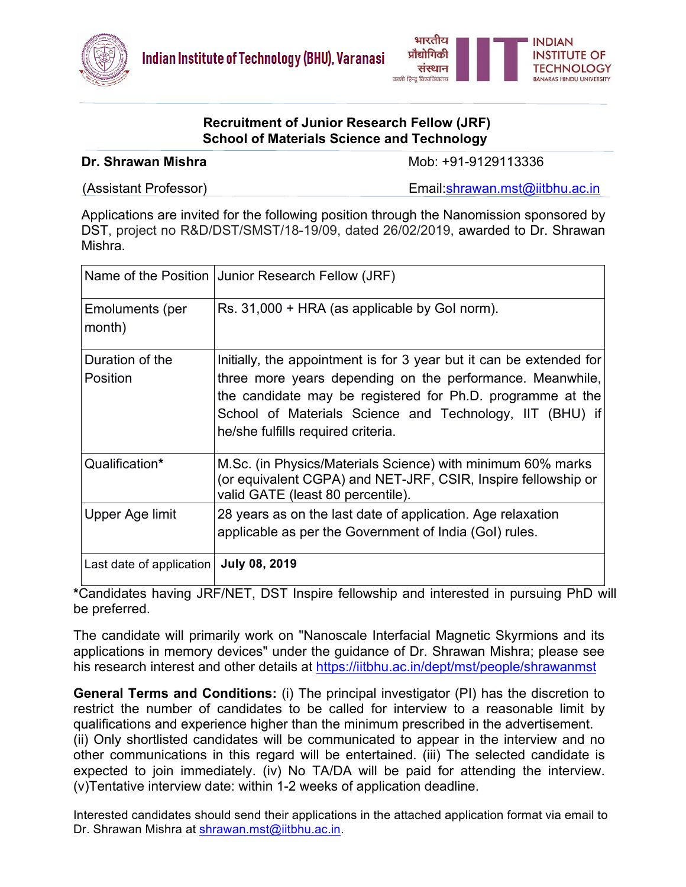



## **Recruitment of Junior Research Fellow (JRF) School of Materials Science and Technology**

**Dr. Shrawan Mishra**  Mob: +91-9129113336

(Assistant Professor) and Email:**shrawan.mst@iitbhu.ac.in** 

Applications are invited for the following position through the Nanomission sponsored by DST, project no R&D/DST/SMST/18-19/09, dated 26/02/2019, awarded to Dr. Shrawan Mishra.

|                             | Name of the Position Junior Research Fellow (JRF)                                                                                                                                                                                                                                                |
|-----------------------------|--------------------------------------------------------------------------------------------------------------------------------------------------------------------------------------------------------------------------------------------------------------------------------------------------|
| Emoluments (per<br>month)   | Rs. 31,000 + HRA (as applicable by Gol norm).                                                                                                                                                                                                                                                    |
| Duration of the<br>Position | Initially, the appointment is for 3 year but it can be extended for<br>three more years depending on the performance. Meanwhile,<br>the candidate may be registered for Ph.D. programme at the<br>School of Materials Science and Technology, IIT (BHU) if<br>he/she fulfills required criteria. |
| Qualification*              | M.Sc. (in Physics/Materials Science) with minimum 60% marks<br>(or equivalent CGPA) and NET-JRF, CSIR, Inspire fellowship or<br>valid GATE (least 80 percentile).                                                                                                                                |
| Upper Age limit             | 28 years as on the last date of application. Age relaxation<br>applicable as per the Government of India (GoI) rules.                                                                                                                                                                            |
| Last date of application    | <b>July 08, 2019</b>                                                                                                                                                                                                                                                                             |

**\***Candidates having JRF/NET, DST Inspire fellowship and interested in pursuing PhD will be preferred.

The candidate will primarily work on "Nanoscale Interfacial Magnetic Skyrmions and its applications in memory devices" under the guidance of Dr. Shrawan Mishra; please see his research interest and other details at https://iitbhu.ac.in/dept/mst/people/shrawanmst

**General Terms and Conditions:** (i) The principal investigator (PI) has the discretion to restrict the number of candidates to be called for interview to a reasonable limit by qualifications and experience higher than the minimum prescribed in the advertisement. (ii) Only shortlisted candidates will be communicated to appear in the interview and no other communications in this regard will be entertained. (iii) The selected candidate is expected to join immediately. (iv) No TA/DA will be paid for attending the interview. (v)Tentative interview date: within 1-2 weeks of application deadline.

Interested candidates should send their applications in the attached application format via email to Dr. Shrawan Mishra at shrawan.mst@iitbhu.ac.in.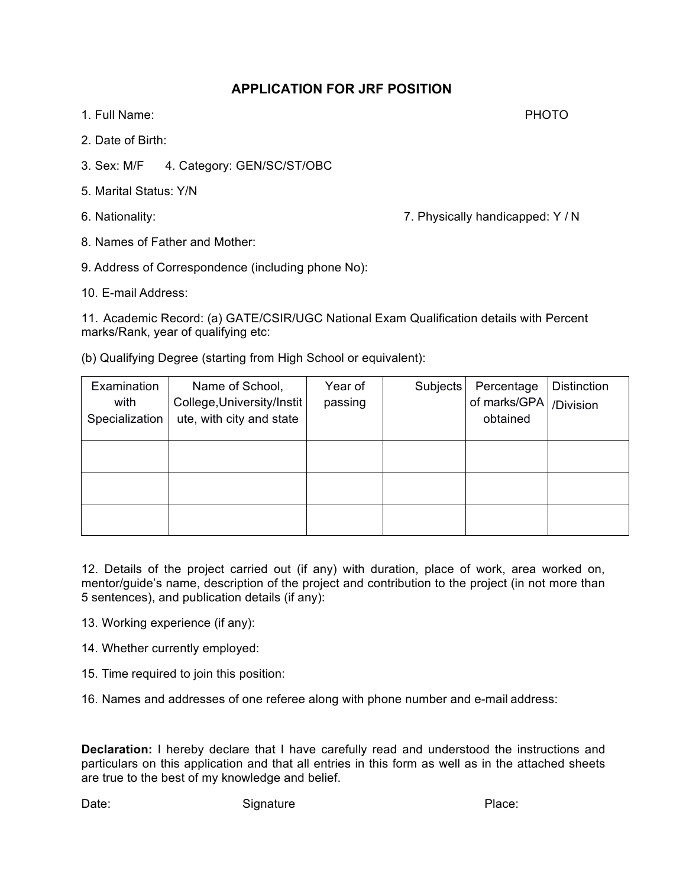## **APPLICATION FOR JRF POSITION**

- 1. Full Name: PHOTO
- 2. Date of Birth:
- 3. Sex: M/F 4. Category: GEN/SC/ST/OBC
- 5. Marital Status: Y/N
- 

6. Nationality: 7. Physically handicapped: Y / N

- 8. Names of Father and Mother:
- 9. Address of Correspondence (including phone No):
- 10. E-mail Address:

11. Academic Record: (a) GATE/CSIR/UGC National Exam Qualification details with Percent marks/Rank, year of qualifying etc:

(b) Qualifying Degree (starting from High School or equivalent):

| Examination<br>with<br>Specialization | Name of School,<br>College, University/Instit<br>ute, with city and state | Year of<br>passing | Subjects | Percentage<br>of marks/GPA<br>obtained | Distinction<br>/Division |
|---------------------------------------|---------------------------------------------------------------------------|--------------------|----------|----------------------------------------|--------------------------|
|                                       |                                                                           |                    |          |                                        |                          |
|                                       |                                                                           |                    |          |                                        |                          |
|                                       |                                                                           |                    |          |                                        |                          |

12. Details of the project carried out (if any) with duration, place of work, area worked on, mentor/guide's name, description of the project and contribution to the project (in not more than 5 sentences), and publication details (if any):

- 13. Working experience (if any):
- 14. Whether currently employed:
- 15. Time required to join this position:
- 16. Names and addresses of one referee along with phone number and e-mail address:

**Declaration:** I hereby declare that I have carefully read and understood the instructions and particulars on this application and that all entries in this form as well as in the attached sheets are true to the best of my knowledge and belief.

Date: Contract Contract Signature Place: Place: Place: Place: Place: Place: Place: Place: Place: Place: Place: Place: Place: Place: Place: Place: Place: Place: Place: Place: Place: Place: Place: Place: Place: Place: Place: